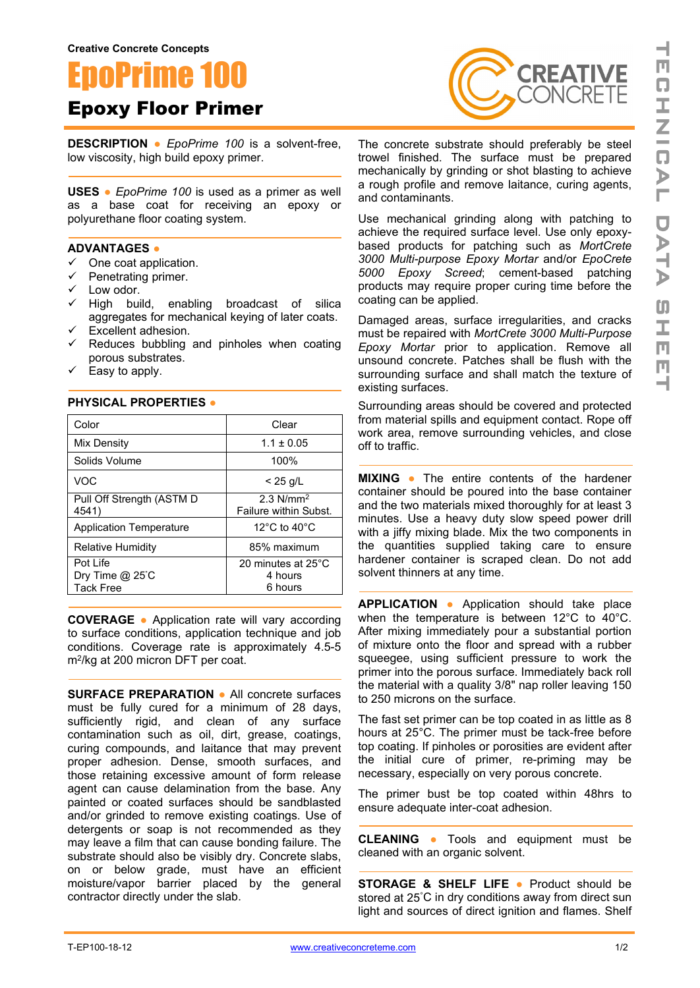**Creative Concrete Concepts**

## EpoPrime 100

Epoxy Floor Primer

**DESCRIPTION ●** *EpoPrime 100* is a solvent-free, low viscosity, high build epoxy primer.

**USES** ● *EpoPrime 100* is used as a primer as well as a base coat for receiving an epoxy or polyurethane floor coating system.

## **ADVANTAGES ●**

- $\checkmark$  One coat application.
- $\checkmark$  Penetrating primer.
- $\checkmark$  Low odor.
- $\checkmark$  High build, enabling broadcast of silica aggregates for mechanical keying of later coats.
- $\checkmark$  Excellent adhesion.

**PHYSICAL PROPERTIES ●**

- $\checkmark$  Reduces bubbling and pinholes when coating porous substrates.
- $\checkmark$  Easy to apply.

| Color                                                | Clear                                            |
|------------------------------------------------------|--------------------------------------------------|
| Mix Density                                          | $1.1 \pm 0.05$                                   |
| Solids Volume                                        | 100%                                             |
| <b>VOC</b>                                           | $< 25$ g/L                                       |
| Pull Off Strength (ASTM D<br>4541)                   | $2.3$ N/mm <sup>2</sup><br>Failure within Subst. |
| <b>Application Temperature</b>                       | 12 $\degree$ C to 40 $\degree$ C                 |
| <b>Relative Humidity</b>                             | 85% maximum                                      |
| Pot Life<br>Dry Time $@$ 25 $°C$<br><b>Tack Free</b> | 20 minutes at 25°C<br>4 hours<br>6 hours         |

**COVERAGE ●** Application rate will vary according to surface conditions, application technique and job conditions. Coverage rate is approximately 4.5-5 m2/kg at 200 micron DFT per coat.

**SURFACE PREPARATION ●** All concrete surfaces must be fully cured for a minimum of 28 days, sufficiently rigid, and clean of any surface contamination such as oil, dirt, grease, coatings, curing compounds, and laitance that may prevent proper adhesion. Dense, smooth surfaces, and those retaining excessive amount of form release agent can cause delamination from the base. Any painted or coated surfaces should be sandblasted and/or grinded to remove existing coatings. Use of detergents or soap is not recommended as they may leave a film that can cause bonding failure. The substrate should also be visibly dry. Concrete slabs, on or below grade, must have an efficient moisture/vapor barrier placed by the general contractor directly under the slab.



The concrete substrate should preferably be steel trowel finished. The surface must be prepared mechanically by grinding or shot blasting to achieve a rough profile and remove laitance, curing agents, and contaminants.

Use mechanical grinding along with patching to achieve the required surface level. Use only epoxybased products for patching such as *MortCrete 3000 Multi-purpose Epoxy Mortar* and/or *EpoCrete 5000 Epoxy Screed*; cement-based patching products may require proper curing time before the coating can be applied.

Damaged areas, surface irregularities, and cracks must be repaired with *MortCrete 3000 Multi-Purpose Epoxy Mortar* prior to application. Remove all unsound concrete. Patches shall be flush with the surrounding surface and shall match the texture of existing surfaces.

Surrounding areas should be covered and protected from material spills and equipment contact. Rope off work area, remove surrounding vehicles, and close off to traffic.

**MIXING ●** The entire contents of the hardener container should be poured into the base container and the two materials mixed thoroughly for at least 3 minutes. Use a heavy duty slow speed power drill with a jiffy mixing blade. Mix the two components in the quantities supplied taking care to ensure hardener container is scraped clean. Do not add solvent thinners at any time.

**APPLICATION ●** Application should take place when the temperature is between 12°C to 40°C. After mixing immediately pour a substantial portion of mixture onto the floor and spread with a rubber squeegee, using sufficient pressure to work the primer into the porous surface. Immediately back roll the material with a quality 3/8" nap roller leaving 150 to 250 microns on the surface.

The fast set primer can be top coated in as little as 8 hours at 25°C. The primer must be tack-free before top coating. If pinholes or porosities are evident after the initial cure of primer, re-priming may be necessary, especially on very porous concrete.

The primer bust be top coated within 48hrs to ensure adequate inter-coat adhesion.

**CLEANING ●** Tools and equipment must be cleaned with an organic solvent.

**STORAGE & SHELF LIFE ●** Product should be stored at 25° C in dry conditions away from direct sun light and sources of direct ignition and flames. Shelf